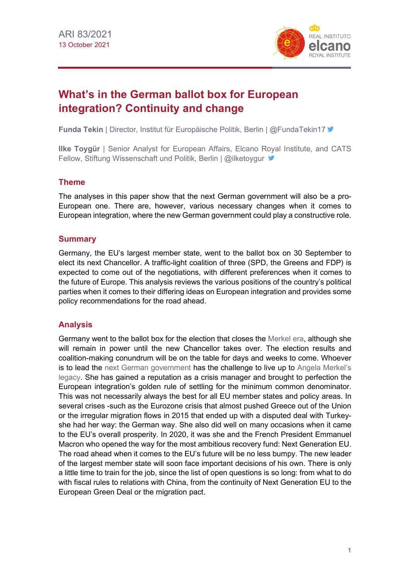

# **What's in the German ballot box for European integration? Continuity and change**

**Funda Tekin** | Director, Institut für Europäische Politik, Berlin | @FundaTekin17

**Ilke Toygür** | Senior Analyst for European Affairs, Elcano Royal Institute, and CATS Fellow, Stiftung Wissenschaft und Politik, Berlin | @ilketoygur  $\blacktriangleright$ 

# **Theme**

The analyses in this paper show that the next German government will also be a pro-European one. There are, however, various necessary changes when it comes to European integration, where the new German government could play a constructive role.

## **Summary**

Germany, the EU's largest member state, went to the ballot box on 30 September to elect its next Chancellor. A traffic-light coalition of three (SPD, the Greens and FDP) is expected to come out of the negotiations, with different preferences when it comes to the future of Europe. This analysis reviews the various positions of the country's political parties when it comes to their differing ideas on European integration and provides some policy recommendations for the road ahead.

# **Analysis**

Germany went to the ballot box for the election that closes the [Merkel era,](https://blog.realinstitutoelcano.org/en/merkel-is-germany/) although she will remain in power until the new Chancellor takes over. The election results and coalition-making conundrum will be on the table for days and weeks to come. Whoever is to lead the [next German government](http://realinstitutoelcano.org/wps/portal/rielcano_en/contenido?WCM_GLOBAL_CONTEXT=/elcano/elcano_in/zonas_in/commentary-otero-german-elections-more-continuity-than-change) has the challenge to live up to [Angela Merkel's](https://blog.realinstitutoelcano.org/en/?s=merkel)  [legacy.](https://blog.realinstitutoelcano.org/en/?s=merkel) She has gained a reputation as a crisis manager and brought to perfection the European integration's golden rule of settling for the minimum common denominator. This was not necessarily always the best for all EU member states and policy areas. In several crises -such as the Eurozone crisis that almost pushed Greece out of the Union or the irregular migration flows in 2015 that ended up with a disputed deal with Turkeyshe had her way: the German way. She also did well on many occasions when it came to the EU's overall prosperity. In 2020, it was she and the French President Emmanuel Macron who opened the way for the most ambitious recovery fund: Next Generation EU. The road ahead when it comes to the EU's future will be no less bumpy. The new leader of the largest member state will soon face important decisions of his own. There is only a little time to train for the job, since the list of open questions is so long: from what to do with fiscal rules to relations with China, from the continuity of Next Generation EU to the European Green Deal or the migration pact.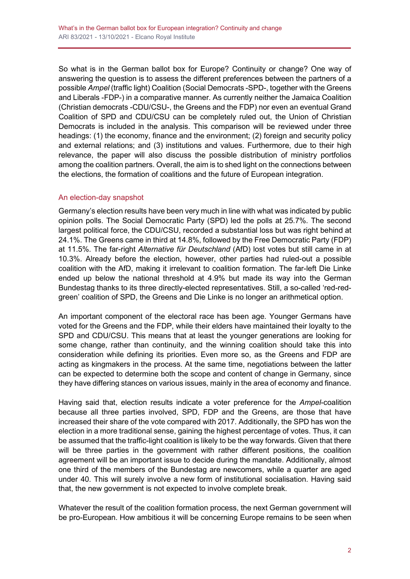So what is in the German ballot box for Europe? Continuity or change? One way of answering the question is to assess the different preferences between the partners of a possible *Ampel* (traffic light) Coalition (Social Democrats -SPD-, together with the Greens and Liberals -FDP-) in a comparative manner. As currently neither the Jamaica Coalition (Christian democrats -CDU/CSU-, the Greens and the FDP) nor even an eventual Grand Coalition of SPD and CDU/CSU can be completely ruled out, the Union of Christian Democrats is included in the analysis. This comparison will be reviewed under three headings: (1) the economy, finance and the environment; (2) foreign and security policy and external relations; and (3) institutions and values. Furthermore, due to their high relevance, the paper will also discuss the possible distribution of ministry portfolios among the coalition partners. Overall, the aim is to shed light on the connections between the elections, the formation of coalitions and the future of European integration.

## An election-day snapshot

Germany's election results have been very much in line with what was indicated by public opinion polls. The Social Democratic Party (SPD) led the polls at 25.7%. The second largest political force, the CDU/CSU, recorded a substantial loss but was right behind at 24.1%. The Greens came in third at 14.8%, followed by the Free Democratic Party (FDP) at 11.5%. The far-right *Alternative für Deutschland* (AfD) lost votes but still came in at 10.3%. Already before the election, however, other parties had ruled-out a possible coalition with the AfD, making it irrelevant to coalition formation. The far-left Die Linke ended up below the national threshold at 4.9% but made its way into the German Bundestag thanks to its three directly-elected representatives. Still, a so-called 'red-redgreen' coalition of SPD, the Greens and Die Linke is no longer an arithmetical option.

An important component of the electoral race has been age. Younger Germans have voted for the Greens and the FDP, while their elders have maintained their loyalty to the SPD and CDU/CSU. This means that at least the younger generations are looking for some change, rather than continuity, and the winning coalition should take this into consideration while defining its priorities. Even more so, as the Greens and FDP are acting as kingmakers in the process. At the same time, negotiations between the latter can be expected to determine both the scope and content of change in Germany, since they have differing stances on various issues, mainly in the area of economy and finance.

Having said that, election results indicate a voter preference for the *Ampel*-coalition because all three parties involved, SPD, FDP and the Greens, are those that have increased their share of the vote compared with 2017. Additionally, the SPD has won the election in a more traditional sense, gaining the highest percentage of votes. Thus, it can be assumed that the traffic-light coalition is likely to be the way forwards. Given that there will be three parties in the government with rather different positions, the coalition agreement will be an important issue to decide during the mandate. Additionally, almost one third of the members of the Bundestag are newcomers, while a quarter are aged under 40. This will surely involve a new form of institutional socialisation. Having said that, the new government is not expected to involve complete break.

Whatever the result of the coalition formation process, the next German government will be pro-European. How ambitious it will be concerning Europe remains to be seen when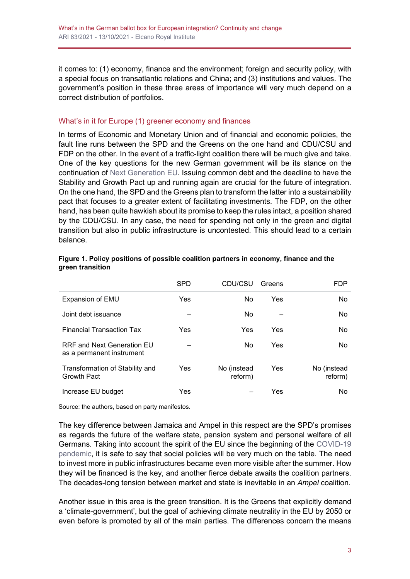it comes to: (1) economy, finance and the environment; foreign and security policy, with a special focus on transatlantic relations and China; and (3) institutions and values. The government's position in these three areas of importance will very much depend on a correct distribution of portfolios.

## What's in it for Europe (1) greener economy and finances

In terms of Economic and Monetary Union and of financial and economic policies, the fault line runs between the SPD and the Greens on the one hand and CDU/CSU and FDP on the other. In the event of a traffic-light coalition there will be much give and take. One of the key questions for the new German government will be its stance on the continuation of [Next Generation EU.](http://www.realinstitutoelcano.org/wps/portal/rielcano_en/contenido?WCM_GLOBAL_CONTEXT=/elcano/elcano_in/zonas_in/ari69-2021-next-generation-eu-germany-focuses-its-climate-policy-on-hydrogen-and-sustainable-mobility) Issuing common debt and the deadline to have the Stability and Growth Pact up and running again are crucial for the future of integration. On the one hand, the SPD and the Greens plan to transform the latter into a sustainability pact that focuses to a greater extent of facilitating investments. The FDP, on the other hand, has been quite hawkish about its promise to keep the rules intact, a position shared by the CDU/CSU. In any case, the need for spending not only in the green and digital transition but also in public infrastructure is uncontested. This should lead to a certain balance.

|                                                                | <b>SPD</b> | CDU/CSU                | Greens | <b>FDP</b>             |
|----------------------------------------------------------------|------------|------------------------|--------|------------------------|
| Expansion of EMU                                               | <b>Yes</b> | No                     | Yes    | No.                    |
| Joint debt issuance                                            |            | No                     |        | No.                    |
| <b>Financial Transaction Tax</b>                               | Yes        | Yes                    | Yes    | No.                    |
| <b>RRF and Next Generation EU</b><br>as a permanent instrument |            | N <sub>o</sub>         | Yes    | No.                    |
| Transformation of Stability and<br><b>Growth Pact</b>          | Yes        | No (instead<br>reform) | Yes    | No (instead<br>reform) |
| Increase EU budget                                             | Yes        |                        | Yes    | No.                    |

#### **Figure 1. Policy positions of possible coalition partners in economy, finance and the green transition**

Source: the authors, based on party manifestos.

The key difference between Jamaica and Ampel in this respect are the SPD's promises as regards the future of the welfare state, pension system and personal welfare of all Germans. Taking into account the spirit of the EU since the beginning of the [COVID-19](https://especiales.realinstitutoelcano.org/coronavirus/?lang=en)  [pandemic,](https://especiales.realinstitutoelcano.org/coronavirus/?lang=en) it is safe to say that social policies will be very much on the table. The need to invest more in public infrastructures became even more visible after the summer. How they will be financed is the key, and another fierce debate awaits the coalition partners. The decades-long tension between market and state is inevitable in an *Ampel* coalition.

Another issue in this area is the green transition. It is the Greens that explicitly demand a 'climate-government', but the goal of achieving climate neutrality in the EU by 2050 or even before is promoted by all of the main parties. The differences concern the means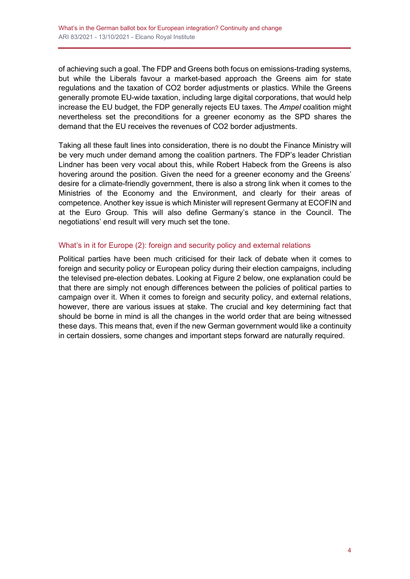of achieving such a goal. The FDP and Greens both focus on emissions-trading systems, but while the Liberals favour a market-based approach the Greens aim for state regulations and the taxation of CO2 border adjustments or plastics. While the Greens generally promote EU-wide taxation, including large digital corporations, that would help increase the EU budget, the FDP generally rejects EU taxes. The *Ampel* coalition might nevertheless set the preconditions for a greener economy as the SPD shares the demand that the EU receives the revenues of CO2 border adjustments.

Taking all these fault lines into consideration, there is no doubt the Finance Ministry will be very much under demand among the coalition partners. The FDP's leader Christian Lindner has been very vocal about this, while Robert Habeck from the Greens is also hovering around the position. Given the need for a greener economy and the Greens' desire for a climate-friendly government, there is also a strong link when it comes to the Ministries of the Economy and the Environment, and clearly for their areas of competence. Another key issue is which Minister will represent Germany at ECOFIN and at the Euro Group. This will also define Germany's stance in the Council. The negotiations' end result will very much set the tone.

## What's in it for Europe (2): foreign and security policy and external relations

Political parties have been much criticised for their lack of debate when it comes to foreign and security policy or European policy during their election campaigns, including the televised pre-election debates. Looking at Figure 2 below, one explanation could be that there are simply not enough differences between the policies of political parties to campaign over it. When it comes to foreign and security policy, and external relations, however, there are various issues at stake. The crucial and key determining fact that should be borne in mind is all the changes in the world order that are being witnessed these days. This means that, even if the new German government would like a continuity in certain dossiers, some changes and important steps forward are naturally required.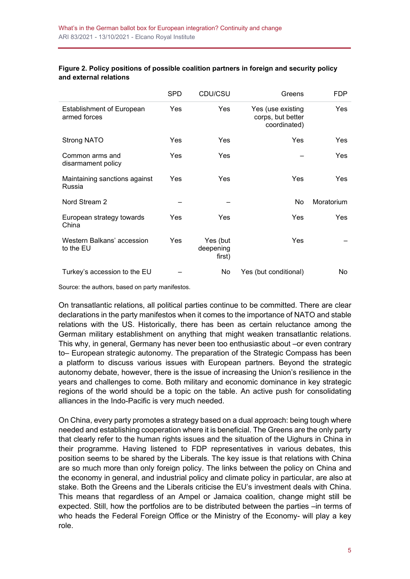|                                           | <b>SPD</b> | CDU/CSU                         | Greens                                                 | <b>FDP</b> |
|-------------------------------------------|------------|---------------------------------|--------------------------------------------------------|------------|
| Establishment of European<br>armed forces | <b>Yes</b> | Yes                             | Yes (use existing<br>corps, but better<br>coordinated) | Yes        |
| <b>Strong NATO</b>                        | Yes        | <b>Yes</b>                      | Yes                                                    | Yes        |
| Common arms and<br>disarmament policy     | Yes        | <b>Yes</b>                      |                                                        | Yes        |
| Maintaining sanctions against<br>Russia   | Yes        | <b>Yes</b>                      | Yes                                                    | Yes        |
| Nord Stream 2                             |            |                                 | No                                                     | Moratorium |
| European strategy towards<br>China        | Yes        | <b>Yes</b>                      | Yes                                                    | Yes.       |
| Western Balkans' accession<br>to the EU   | Yes        | Yes (but<br>deepening<br>first) | Yes                                                    |            |
| Turkey's accession to the EU              |            | No.                             | Yes (but conditional)                                  | No.        |

#### **Figure 2. Policy positions of possible coalition partners in foreign and security policy and external relations**

Source: the authors, based on party manifestos.

On transatlantic relations, all political parties continue to be committed. There are clear declarations in the party manifestos when it comes to the importance of NATO and stable relations with the US. Historically, there has been as certain reluctance among the German military establishment on anything that might weaken transatlantic relations. This why, in general, Germany has never been too enthusiastic about –or even contrary to– European strategic autonomy. The preparation of the Strategic Compass has been a platform to discuss various issues with European partners. Beyond the strategic autonomy debate, however, there is the issue of increasing the Union's resilience in the years and challenges to come. Both military and economic dominance in key strategic regions of the world should be a topic on the table. An active push for consolidating alliances in the Indo-Pacific is very much needed.

On China, every party promotes a strategy based on a dual approach: being tough where needed and establishing cooperation where it is beneficial. The Greens are the only party that clearly refer to the human rights issues and the situation of the Uighurs in China in their programme. Having listened to FDP representatives in various debates, this position seems to be shared by the Liberals. The key issue is that relations with China are so much more than only foreign policy. The links between the policy on China and the economy in general, and industrial policy and climate policy in particular, are also at stake. Both the Greens and the Liberals criticise the EU's investment deals with China. This means that regardless of an Ampel or Jamaica coalition, change might still be expected. Still, how the portfolios are to be distributed between the parties –in terms of who heads the Federal Foreign Office or the Ministry of the Economy- will play a key role.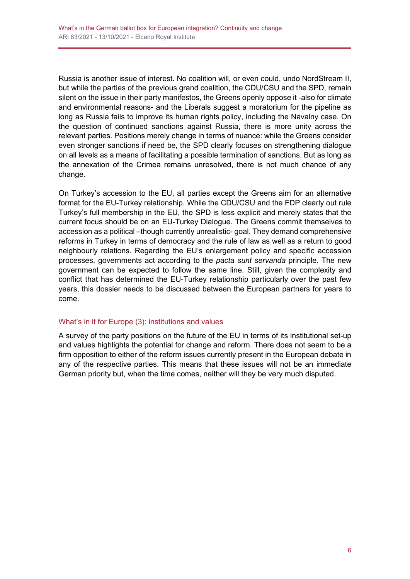Russia is another issue of interest. No coalition will, or even could, undo NordStream II, but while the parties of the previous grand coalition, the CDU/CSU and the SPD, remain silent on the issue in their party manifestos, the Greens openly oppose it -also for climate and environmental reasons- and the Liberals suggest a moratorium for the pipeline as long as Russia fails to improve its human rights policy, including the Navalny case. On the question of continued sanctions against Russia, there is more unity across the relevant parties. Positions merely change in terms of nuance: while the Greens consider even stronger sanctions if need be, the SPD clearly focuses on strengthening dialogue on all levels as a means of facilitating a possible termination of sanctions. But as long as the annexation of the Crimea remains unresolved, there is not much chance of any change.

On Turkey's accession to the EU, all parties except the Greens aim for an alternative format for the EU-Turkey relationship. While the CDU/CSU and the FDP clearly out rule Turkey's full membership in the EU, the SPD is less explicit and merely states that the current focus should be on an EU-Turkey Dialogue. The Greens commit themselves to accession as a political –though currently unrealistic- goal. They demand comprehensive reforms in Turkey in terms of democracy and the rule of law as well as a return to good neighbourly relations. Regarding the EU's enlargement policy and specific accession processes, governments act according to the *pacta sunt servanda* principle. The new government can be expected to follow the same line. Still, given the complexity and conflict that has determined the EU-Turkey relationship particularly over the past few years, this dossier needs to be discussed between the European partners for years to come.

## What's in it for Europe (3): institutions and values

A survey of the party positions on the future of the EU in terms of its institutional set-up and values highlights the potential for change and reform. There does not seem to be a firm opposition to either of the reform issues currently present in the European debate in any of the respective parties. This means that these issues will not be an immediate German priority but, when the time comes, neither will they be very much disputed.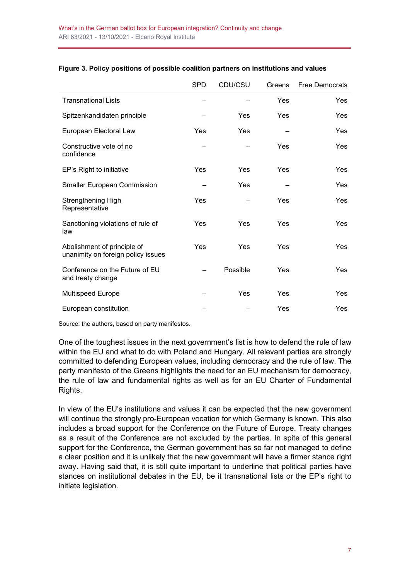|                                                                   | <b>SPD</b> | CDU/CSU  | Greens | <b>Free Democrats</b> |
|-------------------------------------------------------------------|------------|----------|--------|-----------------------|
| <b>Transnational Lists</b>                                        |            |          | Yes    | <b>Yes</b>            |
| Spitzenkandidaten principle                                       |            | Yes      | Yes    | <b>Yes</b>            |
| European Electoral Law                                            | Yes        | Yes      |        | <b>Yes</b>            |
| Constructive vote of no<br>confidence                             |            |          | Yes    | <b>Yes</b>            |
| EP's Right to initiative                                          | Yes        | Yes      | Yes    | Yes                   |
| <b>Smaller European Commission</b>                                |            | Yes      |        | Yes                   |
| Strengthening High<br>Representative                              | Yes        |          | Yes    | <b>Yes</b>            |
| Sanctioning violations of rule of<br>law                          | Yes        | Yes      | Yes    | Yes                   |
| Abolishment of principle of<br>unanimity on foreign policy issues | Yes        | Yes      | Yes    | <b>Yes</b>            |
| Conference on the Future of EU<br>and treaty change               |            | Possible | Yes    | Yes                   |
| <b>Multispeed Europe</b>                                          |            | Yes      | Yes    | Yes                   |
| European constitution                                             |            |          | Yes    | Yes                   |

#### **Figure 3. Policy positions of possible coalition partners on institutions and values**

Source: the authors, based on party manifestos.

One of the toughest issues in the next government's list is how to defend the rule of law within the EU and what to do with Poland and Hungary. All relevant parties are strongly committed to defending European values, including democracy and the rule of law. The party manifesto of the Greens highlights the need for an EU mechanism for democracy, the rule of law and fundamental rights as well as for an EU Charter of Fundamental Rights.

In view of the EU's institutions and values it can be expected that the new government will continue the strongly pro-European vocation for which Germany is known. This also includes a broad support for the Conference on the Future of Europe. Treaty changes as a result of the Conference are not excluded by the parties. In spite of this general support for the Conference, the German government has so far not managed to define a clear position and it is unlikely that the new government will have a firmer stance right away. Having said that, it is still quite important to underline that political parties have stances on institutional debates in the EU, be it transnational lists or the EP's right to initiate legislation.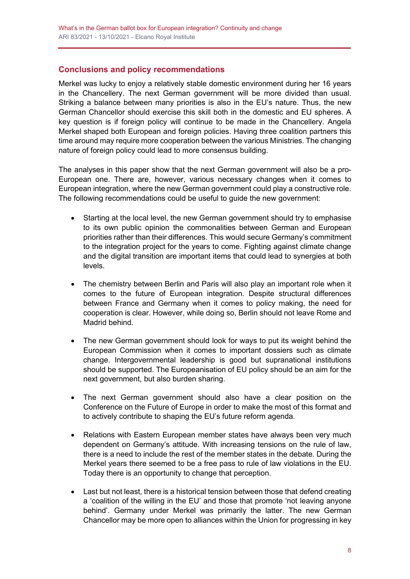# **Conclusions and policy recommendations**

Merkel was lucky to enjoy a relatively stable domestic environment during her 16 years in the Chancellery. The next German government will be more divided than usual. Striking a balance between many priorities is also in the EU's nature. Thus, the new German Chancellor should exercise this skill both in the domestic and EU spheres. A key question is if foreign policy will continue to be made in the Chancellery. Angela Merkel shaped both European and foreign policies. Having three coalition partners this time around may require more cooperation between the various Ministries. The changing nature of foreign policy could lead to more consensus building.

The analyses in this paper show that [the next German government](http://www.realinstitutoelcano.org/wps/portal/rielcano_es/actividad?WCM_GLOBAL_CONTEXT=/elcano/elcano_es/calendario/actividades/debates-elcano-post-merkel-germany-continuity-or-change) will also be a pro-European one. There are, however, various necessary changes when it comes to European integration, where the new German government could play a constructive role. The following recommendations could be useful to guide the new government:

- Starting at the local level, the new German government should try to emphasise to its own public opinion the commonalities between German and European priorities rather than their differences. This would secure Germany's commitment to the integration project for the years to come. Fighting against climate change and the digital transition are important items that could lead to synergies at both levels.
- The chemistry between Berlin and Paris will also play an important role when it comes to the future of European integration. Despite structural differences between France and Germany when it comes to policy making, the need for cooperation is clear. However, while doing so, Berlin should not leave Rome and Madrid behind.
- The new German government should look for ways to put its weight behind the European Commission when it comes to important dossiers such as climate change. Intergovernmental leadership is good but supranational institutions should be supported. The Europeanisation of EU policy should be an aim for the next government, but also burden sharing.
- The next German government should also have a clear position on the Conference on the Future of Europe in order to make the most of this format and to actively contribute to shaping the EU's future reform agenda.
- Relations with Eastern European member states have always been very much dependent on Germany's attitude. With increasing tensions on the rule of law, there is a need to include the rest of the member states in the debate. During the Merkel years there seemed to be a free pass to rule of law violations in the EU. Today there is an opportunity to change that perception.
- Last but not least, there is a historical tension between those that defend creating a 'coalition of the willing in the EU' and those that promote 'not leaving anyone behind'. Germany under Merkel was primarily the latter. The new German Chancellor may be more open to alliances within the Union for progressing in key